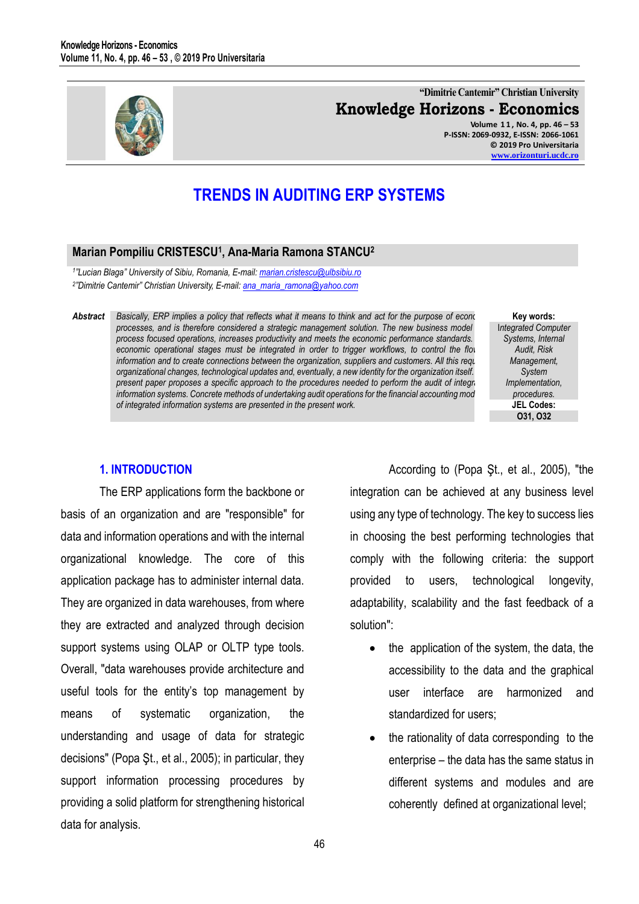

**"Dimitrie Cantemir" Christian University Knowledge Horizons - Economics Volume 1 1 , No. 4, pp. 46 – 53 P-ISSN: 2069-0932, E-ISSN: 2066-1061 © 2019 Pro Universitaria [www.orizonturi.ucdc.ro](http://www.orizonturi.ucdc.ro/)**

# **TRENDS IN AUDITING ERP SYSTEMS**

# **Marian Pompiliu CRISTESCU<sup>1</sup> , Ana-Maria Ramona STANCU<sup>2</sup>**

*1 "Lucian Blaga" University of Sibiu, Romania, E-mail: marian.cristescu@ulbsibiu.ro 2 "Dimitrie Cantemir" Christian University, E-mail[: ana\\_maria\\_ramona@yahoo.com](mailto:ana_maria_ramona@yahoo.com)* 

Abstract **Basically, ERP implies a policy that reflects what it means to think and act for the purpose of economic and**  $\epsilon$ *processes, and is therefore considered a strategic management solution. The new business model process focused operations, increases productivity and meets the economic performance standards. economic operational stages must be integrated in order to trigger workflows, to control the flow information and to create connections between the organization, suppliers and customers. All this requires and customers. All this requires and customers. organizational changes, technological updates and, eventually, a new identity for the organization itself. The present paper proposes a specific approach to the procedures needed to perform the audit of integrated regional information systems. Concrete methods of undertaking audit operations for the financial accounting mod of integrated information systems are presented in the present work.* 

**Key words:** I*ntegrated Computer Systems, Internal Audit, Risk Management, System Implementation, procedures.* **JEL Codes: O31, O32**

## **1. INTRODUCTION**

The ERP applications form the backbone or basis of an organization and are "responsible" for data and information operations and with the internal organizational knowledge. The core of this application package has to administer internal data. They are organized in data warehouses, from where they are extracted and analyzed through decision support systems using OLAP or OLTP type tools. Overall, "data warehouses provide architecture and useful tools for the entity's top management by means of systematic organization, the understanding and usage of data for strategic decisions" (Popa Şt., et al., 2005); in particular, they support information processing procedures by providing a solid platform for strengthening historical data for analysis.

According to (Popa Şt., et al., 2005), "the integration can be achieved at any business level using any type of technology. The key to success lies in choosing the best performing technologies that comply with the following criteria: the support provided to users, technological longevity, adaptability, scalability and the fast feedback of a solution":

- the application of the system, the data, the accessibility to the data and the graphical user interface are harmonized and standardized for users;
- the rationality of data corresponding to the enterprise – the data has the same status in different systems and modules and are coherently defined at organizational level;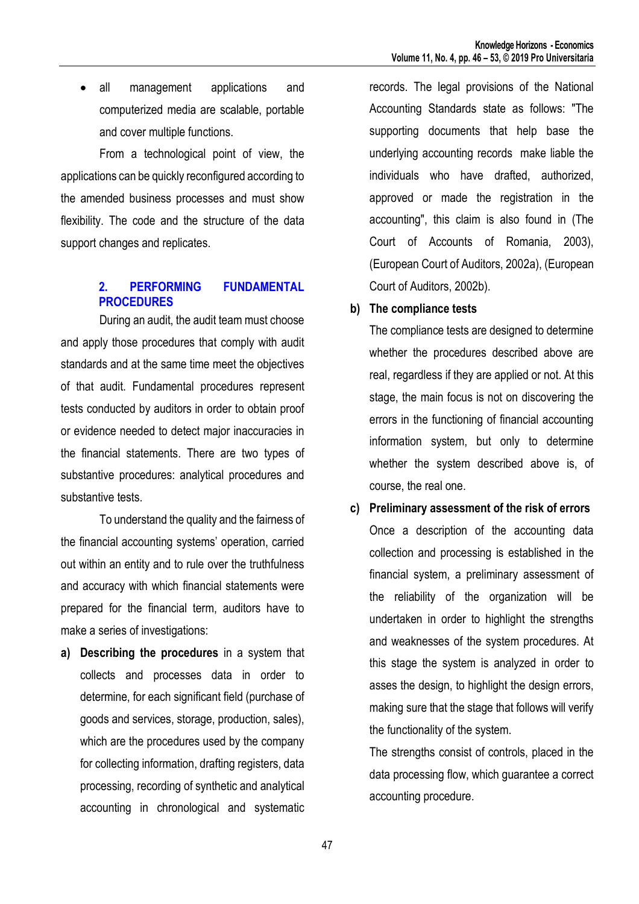• all management applications and computerized media are scalable, portable and cover multiple functions.

From a technological point of view, the applications can be quickly reconfigured according to the amended business processes and must show flexibility. The code and the structure of the data support changes and replicates.

# **2. PERFORMING FUNDAMENTAL PROCEDURES**

During an audit, the audit team must choose and apply those procedures that comply with audit standards and at the same time meet the objectives of that audit. Fundamental procedures represent tests conducted by auditors in order to obtain proof or evidence needed to detect major inaccuracies in the financial statements. There are two types of substantive procedures: analytical procedures and substantive tests.

To understand the quality and the fairness of the financial accounting systems' operation, carried out within an entity and to rule over the truthfulness and accuracy with which financial statements were prepared for the financial term, auditors have to make a series of investigations:

**a) Describing the procedures** in a system that collects and processes data in order to determine, for each significant field (purchase of goods and services, storage, production, sales), which are the procedures used by the company for collecting information, drafting registers, data processing, recording of synthetic and analytical accounting in chronological and systematic

records. The legal provisions of the National Accounting Standards state as follows: "The supporting documents that help base the underlying accounting records make liable the individuals who have drafted, authorized, approved or made the registration in the accounting", this claim is also found in (The Court of Accounts of Romania, 2003), (European Court of Auditors, 2002a), (European Court of Auditors, 2002b).

# **b) The compliance tests**

The compliance tests are designed to determine whether the procedures described above are real, regardless if they are applied or not. At this stage, the main focus is not on discovering the errors in the functioning of financial accounting information system, but only to determine whether the system described above is, of course, the real one.

**c) Preliminary assessment of the risk of errors** Once a description of the accounting data collection and processing is established in the financial system, a preliminary assessment of the reliability of the organization will be undertaken in order to highlight the strengths and weaknesses of the system procedures. At this stage the system is analyzed in order to asses the design, to highlight the design errors, making sure that the stage that follows will verify the functionality of the system.

The strengths consist of controls, placed in the data processing flow, which guarantee a correct accounting procedure.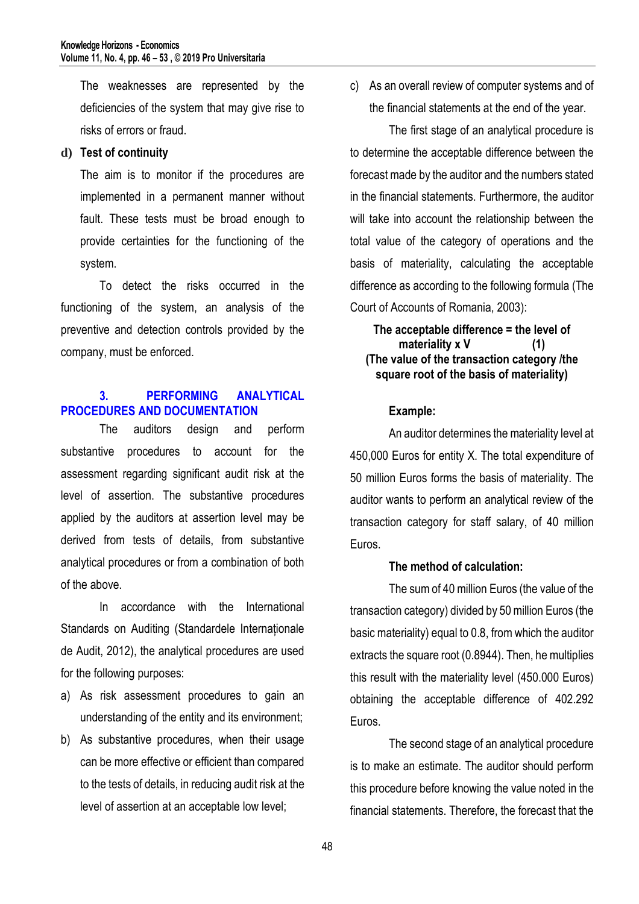The weaknesses are represented by the deficiencies of the system that may give rise to risks of errors or fraud.

## **d) Test of continuity**

The aim is to monitor if the procedures are implemented in a permanent manner without fault. These tests must be broad enough to provide certainties for the functioning of the system.

To detect the risks occurred in the functioning of the system, an analysis of the preventive and detection controls provided by the company, must be enforced.

# **3. PERFORMING ANALYTICAL PROCEDURES AND DOCUMENTATION**

The auditors design and perform substantive procedures to account for the assessment regarding significant audit risk at the level of assertion. The substantive procedures applied by the auditors at assertion level may be derived from tests of details, from substantive analytical procedures or from a combination of both of the above.

In accordance with the International Standards on Auditing (Standardele Internaționale de Audit, 2012), the analytical procedures are used for the following purposes:

- a) As risk assessment procedures to gain an understanding of the entity and its environment;
- b) As substantive procedures, when their usage can be more effective or efficient than compared to the tests of details, in reducing audit risk at the level of assertion at an acceptable low level;

c) As an overall review of computer systems and of the financial statements at the end of the year.

The first stage of an analytical procedure is to determine the acceptable difference between the forecast made by the auditor and the numbers stated in the financial statements. Furthermore, the auditor will take into account the relationship between the total value of the category of operations and the basis of materiality, calculating the acceptable difference as according to the following formula (The Court of Accounts of Romania, 2003):

**The acceptable difference = the level of materiality x V (1) (The value of the transaction category /the square root of the basis of materiality)**

#### **Example:**

An auditor determines the materiality level at 450,000 Euros for entity X. The total expenditure of 50 million Euros forms the basis of materiality. The auditor wants to perform an analytical review of the transaction category for staff salary, of 40 million Euros.

## **The method of calculation:**

The sum of 40 million Euros (the value of the transaction category) divided by 50 million Euros (the basic materiality) equal to 0.8, from which the auditor extracts the square root (0.8944). Then, he multiplies this result with the materiality level (450.000 Euros) obtaining the acceptable difference of 402.292 Euros.

The second stage of an analytical procedure is to make an estimate. The auditor should perform this procedure before knowing the value noted in the financial statements. Therefore, the forecast that the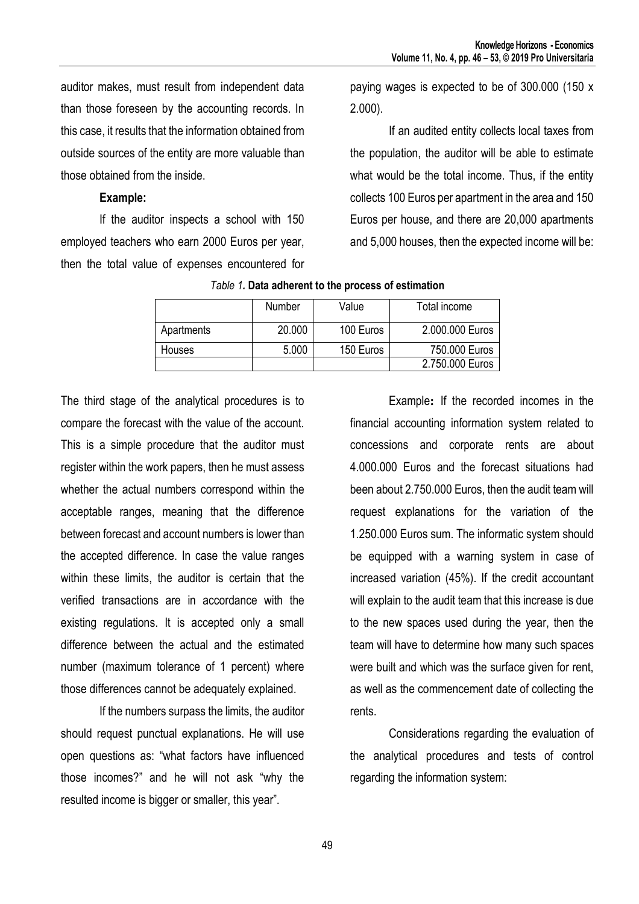auditor makes, must result from independent data than those foreseen by the accounting records. In this case, it results that the information obtained from outside sources of the entity are more valuable than those obtained from the inside.

## **Example:**

If the auditor inspects a school with 150 employed teachers who earn 2000 Euros per year, then the total value of expenses encountered for

paying wages is expected to be of 300.000 (150 x 2.000).

If an audited entity collects local taxes from the population, the auditor will be able to estimate what would be the total income. Thus, if the entity collects 100 Euros per apartment in the area and 150 Euros per house, and there are 20,000 apartments and 5,000 houses, then the expected income will be:

|               | <b>Number</b> | Value     | Total income    |
|---------------|---------------|-----------|-----------------|
| Apartments    | 20.000        | 100 Euros | 2.000.000 Euros |
| <b>Houses</b> | 5.000         | 150 Euros | 750.000 Euros   |
|               |               |           | 2.750.000 Euros |

## *Table 1.* **Data adherent to the process of estimation**

The third stage of the analytical procedures is to compare the forecast with the value of the account. This is a simple procedure that the auditor must register within the work papers, then he must assess whether the actual numbers correspond within the acceptable ranges, meaning that the difference between forecast and account numbers is lower than the accepted difference. In case the value ranges within these limits, the auditor is certain that the verified transactions are in accordance with the existing regulations. It is accepted only a small difference between the actual and the estimated number (maximum tolerance of 1 percent) where those differences cannot be adequately explained.

If the numbers surpass the limits, the auditor should request punctual explanations. He will use open questions as: "what factors have influenced those incomes?" and he will not ask "why the resulted income is bigger or smaller, this year".

Example**:** If the recorded incomes in the financial accounting information system related to concessions and corporate rents are about 4.000.000 Euros and the forecast situations had been about 2.750.000 Euros, then the audit team will request explanations for the variation of the 1.250.000 Euros sum. The informatic system should be equipped with a warning system in case of increased variation (45%). If the credit accountant will explain to the audit team that this increase is due to the new spaces used during the year, then the team will have to determine how many such spaces were built and which was the surface given for rent, as well as the commencement date of collecting the rents.

Considerations regarding the evaluation of the analytical procedures and tests of control regarding the information system: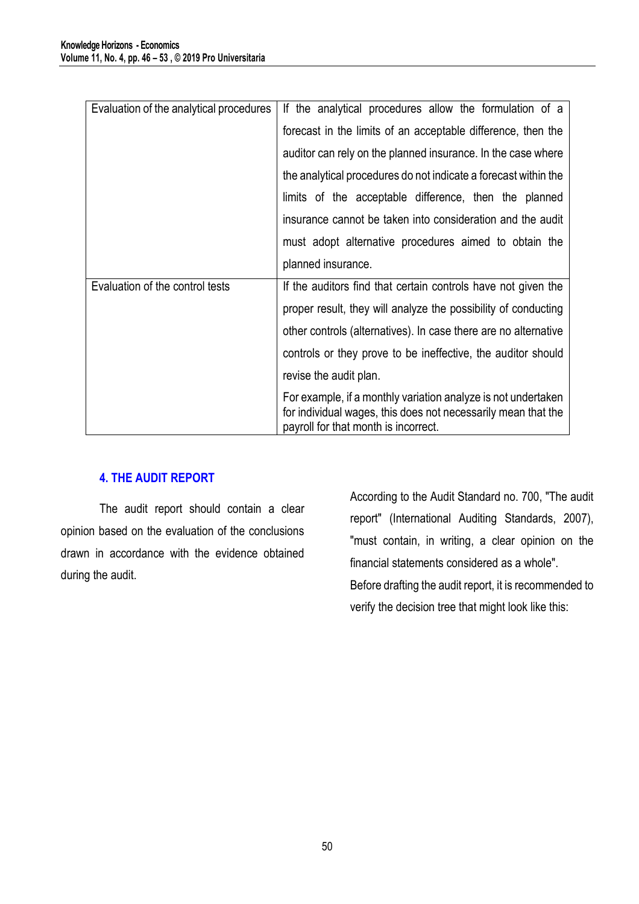| Evaluation of the analytical procedures | If the analytical procedures allow the formulation of a                                                                                                                |  |  |
|-----------------------------------------|------------------------------------------------------------------------------------------------------------------------------------------------------------------------|--|--|
|                                         | forecast in the limits of an acceptable difference, then the                                                                                                           |  |  |
|                                         | auditor can rely on the planned insurance. In the case where                                                                                                           |  |  |
|                                         | the analytical procedures do not indicate a forecast within the                                                                                                        |  |  |
|                                         | limits of the acceptable difference, then the planned                                                                                                                  |  |  |
|                                         | insurance cannot be taken into consideration and the audit                                                                                                             |  |  |
|                                         | must adopt alternative procedures aimed to obtain the                                                                                                                  |  |  |
|                                         | planned insurance.                                                                                                                                                     |  |  |
| Evaluation of the control tests         | If the auditors find that certain controls have not given the                                                                                                          |  |  |
|                                         | proper result, they will analyze the possibility of conducting                                                                                                         |  |  |
|                                         | other controls (alternatives). In case there are no alternative                                                                                                        |  |  |
|                                         | controls or they prove to be ineffective, the auditor should                                                                                                           |  |  |
|                                         | revise the audit plan.                                                                                                                                                 |  |  |
|                                         | For example, if a monthly variation analyze is not undertaken<br>for individual wages, this does not necessarily mean that the<br>payroll for that month is incorrect. |  |  |

# **4. THE AUDIT REPORT**

The audit report should contain a clear opinion based on the evaluation of the conclusions drawn in accordance with the evidence obtained during the audit.

According to the Audit Standard no. 700, "The audit report" (International Auditing Standards, 2007), "must contain, in writing, a clear opinion on the financial statements considered as a whole". Before drafting the audit report, it is recommended to verify the decision tree that might look like this: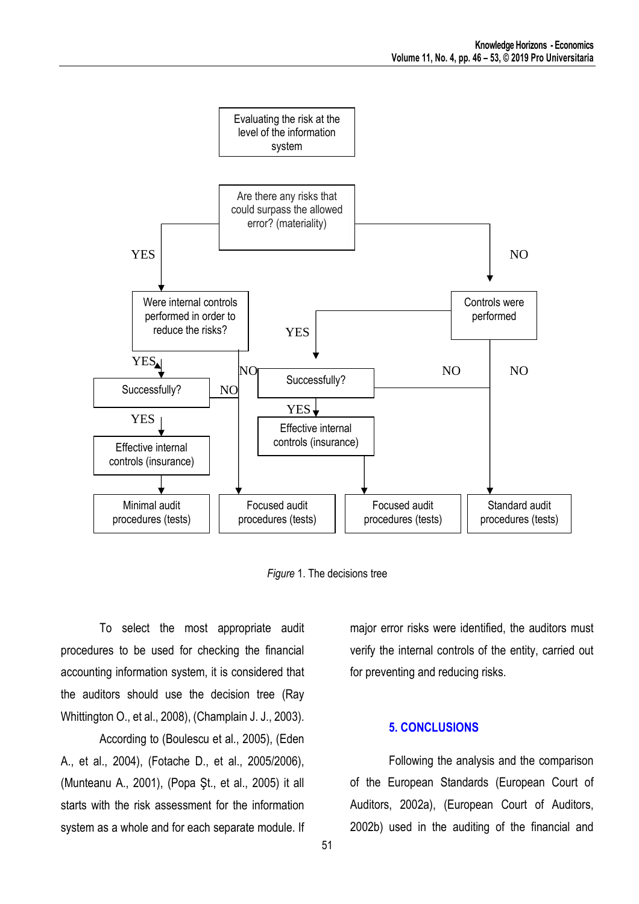

*Figure* 1. The decisions tree

To select the most appropriate audit procedures to be used for checking the financial accounting information system, it is considered that the auditors should use the decision tree (Ray Whittington O., et al., 2008), (Champlain J. J., 2003).

According to (Boulescu et al., 2005), (Eden A., et al., 2004), (Fotache D., et al., 2005/2006), (Munteanu A., 2001), (Popa Şt., et al., 2005) it all starts with the risk assessment for the information system as a whole and for each separate module. If

major error risks were identified, the auditors must verify the internal controls of the entity, carried out for preventing and reducing risks.

## **5. CONCLUSIONS**

Following the analysis and the comparison of the European Standards (European Court of Auditors, 2002a), (European Court of Auditors, 2002b) used in the auditing of the financial and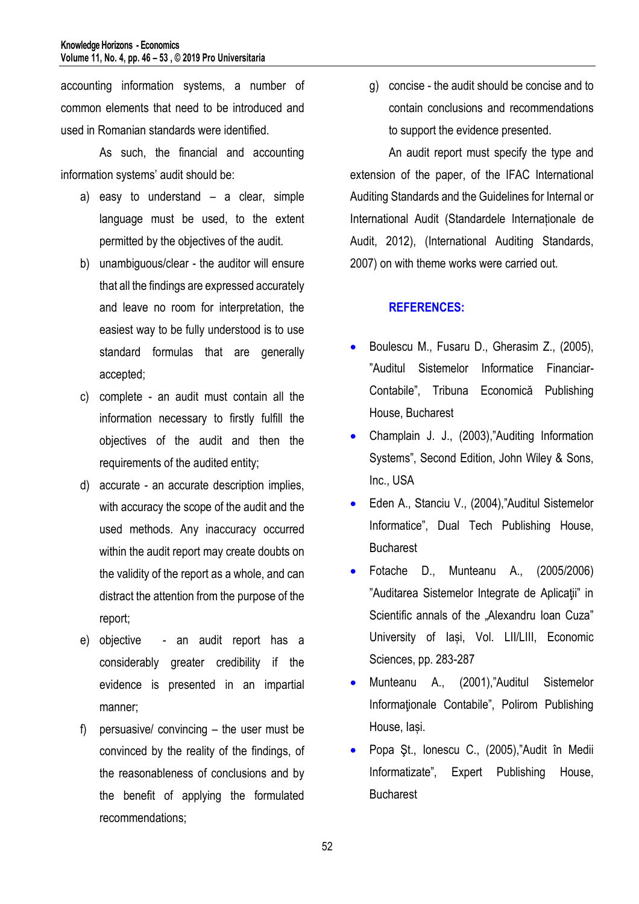accounting information systems, a number of common elements that need to be introduced and used in Romanian standards were identified.

As such, the financial and accounting information systems' audit should be:

- a) easy to understand a clear, simple language must be used, to the extent permitted by the objectives of the audit.
- b) unambiguous/clear the auditor will ensure that all the findings are expressed accurately and leave no room for interpretation, the easiest way to be fully understood is to use standard formulas that are generally accepted;
- c) complete an audit must contain all the information necessary to firstly fulfill the objectives of the audit and then the requirements of the audited entity;
- d) accurate an accurate description implies, with accuracy the scope of the audit and the used methods. Any inaccuracy occurred within the audit report may create doubts on the validity of the report as a whole, and can distract the attention from the purpose of the report;
- e) objective an audit report has a considerably greater credibility if the evidence is presented in an impartial manner;
- f) persuasive/ convincing the user must be convinced by the reality of the findings, of the reasonableness of conclusions and by the benefit of applying the formulated recommendations;

g) concise - the audit should be concise and to contain conclusions and recommendations to support the evidence presented.

An audit report must specify the type and extension of the paper, of the IFAC International Auditing Standards and the Guidelines for Internal or International Audit (Standardele Internaționale de Audit, 2012), (International Auditing Standards, 2007) on with theme works were carried out.

# **REFERENCES:**

- **Boulescu M., Fusaru D., Gherasim Z., (2005),** "Auditul Sistemelor Informatice Financiar-Contabile", Tribuna Economică Publishing House, Bucharest
- Champlain J. J., (2003),"Auditing Information Systems", Second Edition, John Wiley & Sons, Inc., USA
- Eden A., Stanciu V., (2004),"Auditul Sistemelor Informatice", Dual Tech Publishing House, **Bucharest**
- Fotache D., Munteanu A., (2005/2006) "Auditarea Sistemelor Integrate de Aplicaţii" in Scientific annals of the "Alexandru Ioan Cuza" University of Iași, Vol. LII/LIII, Economic Sciences, pp. 283-287
- Munteanu A., (2001),"Auditul Sistemelor Informaţionale Contabile", Polirom Publishing House, Iași.
- Popa Şt., Ionescu C., (2005),"Audit în Medii Informatizate", Expert Publishing House, **Bucharest**